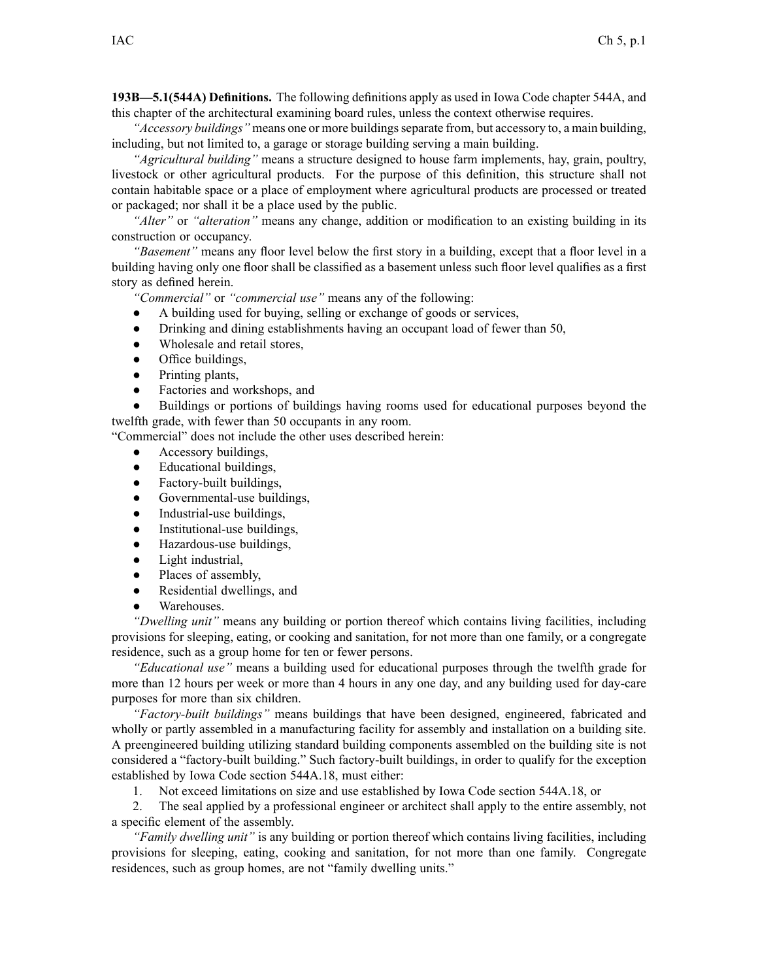**193B—5.1(544A) Definitions.** The following definitions apply as used in Iowa Code chapter 544A, and this chapter of the architectural examining board rules, unless the context otherwise requires.

*"Accessory buildings"* means one or more buildings separate from, but accessory to, a main building, including, but not limited to, <sup>a</sup> garage or storage building serving <sup>a</sup> main building.

*"Agricultural building"* means <sup>a</sup> structure designed to house farm implements, hay, grain, poultry, livestock or other agricultural products. For the purpose of this definition, this structure shall not contain habitable space or <sup>a</sup> place of employment where agricultural products are processed or treated or packaged; nor shall it be <sup>a</sup> place used by the public.

*"Alter"* or *"alteration"* means any change, addition or modification to an existing building in its construction or occupancy.

*"Basement"* means any floor level below the first story in <sup>a</sup> building, excep<sup>t</sup> that <sup>a</sup> floor level in <sup>a</sup> building having only one floor shall be classified as <sup>a</sup> basement unless such floor level qualifies as <sup>a</sup> first story as defined herein.

*"Commercial"* or *"commercial use"* means any of the following:

- $\bullet$ A building used for buying, selling or exchange of goods or services,
- ●Drinking and dining establishments having an occupan<sup>t</sup> load of fewer than 50,
- $\bullet$ Wholesale and retail stores,
- ●Office buildings,
- ●Printing plants,
- $\bullet$ Factories and workshops, and

● Buildings or portions of buildings having rooms used for educational purposes beyond the twelfth grade, with fewer than 50 occupants in any room.

"Commercial" does not include the other uses described herein:

- $\bullet$ Accessory buildings,
- $\bullet$ Educational buildings,
- ●Factory-built buildings,
- $\bullet$ Governmental-use buildings,
- $\bullet$ Industrial-use buildings,
- $\bullet$ Institutional-use buildings,
- $\bullet$ Hazardous-use buildings,
- $\bullet$ Light industrial,
- $\bullet$ Places of assembly,
- $\bullet$ Residential dwellings, and
- ●Warehouses.

*"Dwelling unit"* means any building or portion thereof which contains living facilities, including provisions for sleeping, eating, or cooking and sanitation, for not more than one family, or <sup>a</sup> congregate residence, such as <sup>a</sup> group home for ten or fewer persons.

*"Educational use"* means <sup>a</sup> building used for educational purposes through the twelfth grade for more than 12 hours per week or more than 4 hours in any one day, and any building used for day-care purposes for more than six children.

*"Factory-built buildings"* means buildings that have been designed, engineered, fabricated and wholly or partly assembled in <sup>a</sup> manufacturing facility for assembly and installation on <sup>a</sup> building site. A preengineered building utilizing standard building components assembled on the building site is not considered <sup>a</sup> "factory-built building." Such factory-built buildings, in order to qualify for the exception established by Iowa Code section 544A.18, must either:

1. Not exceed limitations on size and use established by Iowa Code section 544A.18, or

2. The seal applied by <sup>a</sup> professional engineer or architect shall apply to the entire assembly, not <sup>a</sup> specific element of the assembly.

*"Family dwelling unit"* is any building or portion thereof which contains living facilities, including provisions for sleeping, eating, cooking and sanitation, for not more than one family. Congregate residences, such as group homes, are not "family dwelling units."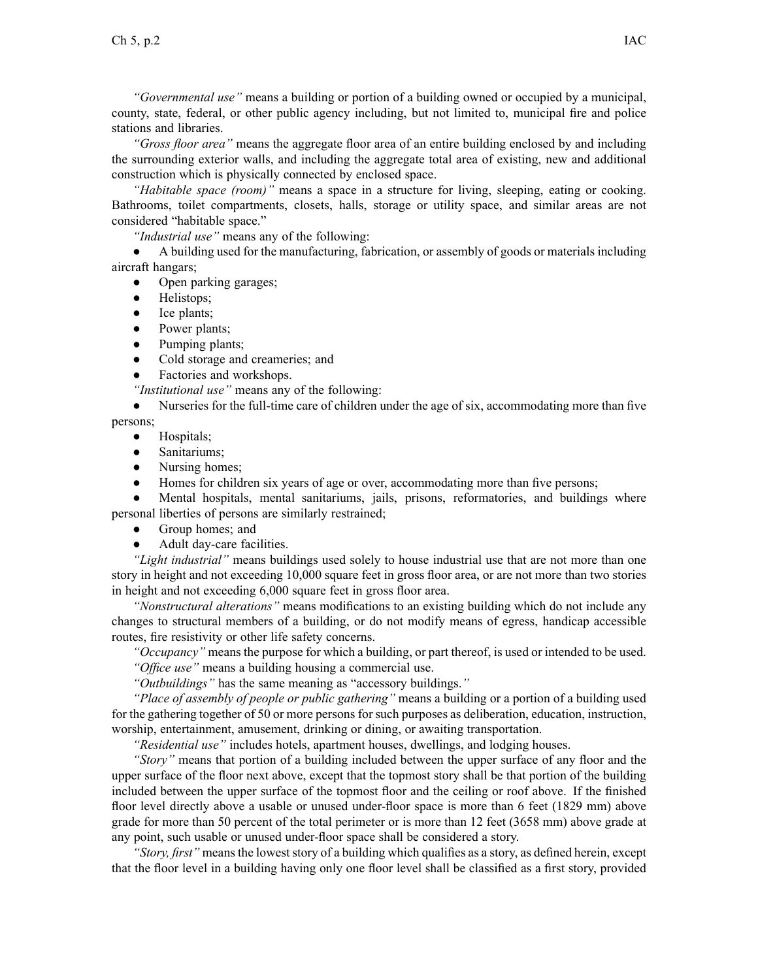*"Governmental use"* means <sup>a</sup> building or portion of <sup>a</sup> building owned or occupied by <sup>a</sup> municipal, county, state, federal, or other public agency including, but not limited to, municipal fire and police stations and libraries.

*"Gross floor area"* means the aggregate floor area of an entire building enclosed by and including the surrounding exterior walls, and including the aggregate total area of existing, new and additional construction which is physically connected by enclosed space.

*"Habitable space (room)"* means <sup>a</sup> space in <sup>a</sup> structure for living, sleeping, eating or cooking. Bathrooms, toilet compartments, closets, halls, storage or utility space, and similar areas are not considered "habitable space."

*"Industrial use"* means any of the following:

 $\bullet$  A building used for the manufacturing, fabrication, or assembly of goods or materials including aircraft hangars;

- $\bullet$ Open parking garages;
- ●Helistops;
- Ice plants;
- ●Power plants;
- $\bullet$ Pumping plants;
- ●Cold storage and creameries; and
- ●Factories and workshops.

*"Institutional use"* means any of the following:

 $\bullet$  Nurseries for the full-time care of children under the age of six, accommodating more than five persons;

- ●Hospitals;
- ●Sanitariums;
- $\bullet$ Nursing homes;
- ●Homes for children six years of age or over, accommodating more than five persons;

● Mental hospitals, mental sanitariums, jails, prisons, reformatories, and buildings where personal liberties of persons are similarly restrained;

- ●Group homes; and
- ●Adult day-care facilities.

*"Light industrial"* means buildings used solely to house industrial use that are not more than one story in height and not exceeding 10,000 square feet in gross floor area, or are not more than two stories in height and not exceeding 6,000 square feet in gross floor area.

*"Nonstructural alterations"* means modifications to an existing building which do not include any changes to structural members of <sup>a</sup> building, or do not modify means of egress, handicap accessible routes, fire resistivity or other life safety concerns.

*"Occupancy"* means the purpose for which <sup>a</sup> building, or par<sup>t</sup> thereof, is used or intended to be used. *"Office use"* means <sup>a</sup> building housing <sup>a</sup> commercial use.

*"Outbuildings"* has the same meaning as "accessory buildings.*"*

*"Place of assembly of people or public gathering"* means <sup>a</sup> building or <sup>a</sup> portion of <sup>a</sup> building used for the gathering together of 50 or more persons for such purposes as deliberation, education, instruction, worship, entertainment, amusement, drinking or dining, or awaiting transportation.

*"Residential use"* includes hotels, apartment houses, dwellings, and lodging houses.

*"Story"* means that portion of <sup>a</sup> building included between the upper surface of any floor and the upper surface of the floor next above, excep<sup>t</sup> that the topmost story shall be that portion of the building included between the upper surface of the topmost floor and the ceiling or roof above. If the finished floor level directly above <sup>a</sup> usable or unused under-floor space is more than 6 feet (1829 mm) above grade for more than 50 percen<sup>t</sup> of the total perimeter or is more than 12 feet (3658 mm) above grade at any point, such usable or unused under-floor space shall be considered <sup>a</sup> story.

*"Story, first"* means the lowest story of a building which qualifies as a story, as defined herein, except that the floor level in <sup>a</sup> building having only one floor level shall be classified as <sup>a</sup> first story, provided